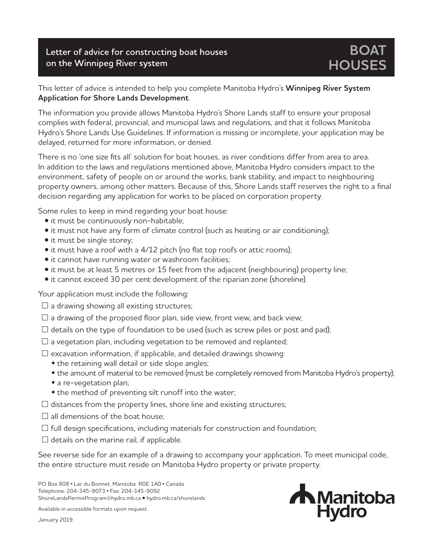## **Letter of advice for constructing boat houses on the Winnipeg River system**

## This letter of advice is intended to help you complete Manitoba Hydro's **Winnipeg River System Application for Shore Lands Development**.

The information you provide allows Manitoba Hydro's Shore Lands staff to ensure your proposal complies with federal, provincial, and municipal laws and regulations, and that it follows Manitoba Hydro's Shore Lands Use Guidelines. If information is missing or incomplete, your application may be delayed, returned for more information, or denied.

There is no 'one size fits all' solution for boat houses, as river conditions differ from area to area. In addition to the laws and regulations mentioned above, Manitoba Hydro considers impact to the environment, safety of people on or around the works, bank stability, and impact to neighbouring property owners, among other matters. Because of this, Shore Lands staff reserves the right to a final decision regarding any application for works to be placed on corporation property.

Some rules to keep in mind regarding your boat house:

- it must be continuously non-habitable;
- it must not have any form of climate control (such as heating or air conditioning);
- it must be single storey;
- it must have a roof with a 4/12 pitch (no flat top roofs or attic rooms);
- it cannot have running water or washroom facilities;
- it must be at least 5 metres or 15 feet from the adjacent (neighbouring) property line;
- it cannot exceed 30 per cent development of the riparian zone (shoreline).

Your application must include the following:

- $\square$  a drawing showing all existing structures;
- $\square$  a drawing of the proposed floor plan, side view, front view, and back view;
- $\square$  details on the type of foundation to be used (such as screw piles or post and pad);
- $\square$  a vegetation plan, including vegetation to be removed and replanted;
- $\square$  excavation information, if applicable, and detailed drawings showing:
	- $\bullet$  the retaining wall detail or side slope angles;
	- the amount of material to be removed (must be completely removed from Manitoba Hydro's property);
	- $\bullet$  a re-vegetation plan;
	- the method of preventing silt runoff into the water;
- $\square$  distances from the property lines, shore line and existing structures;
- $\square$  all dimensions of the boat house:
- $\square$  full design specifications, including materials for construction and foundation;
- $\square$  details on the marine rail, if applicable.

See reverse side for an example of a drawing to accompany your application. To meet municipal code, the entire structure must reside on Manitoba Hydro property or private property.

PO Box 808 • Lac du Bonnet, Manitoba R0E 1A0 • Canada Telephone: 204-345-9073 • Fax: 204-345-9092 ShoreLandsPermitProgram@hydro.mb.ca • hydro.mb.ca/shorelands

Available in accessible formats upon request.